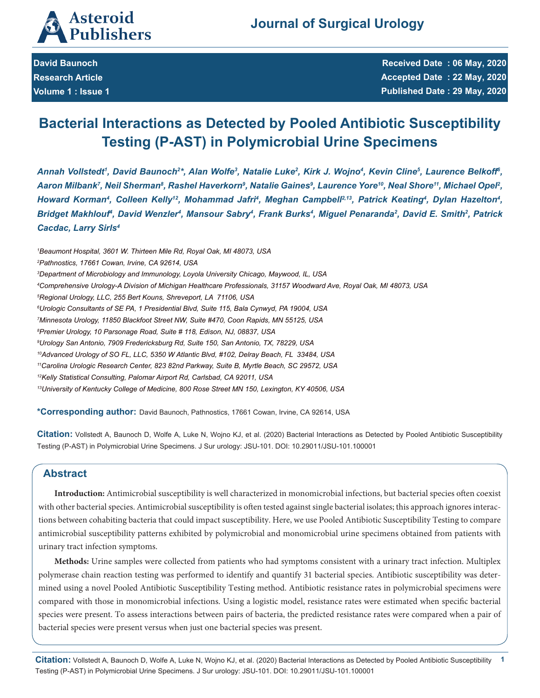

**David Baunoch Research Article Volume 1 : Issue 1** **Received Date : 06 May, 2020 Accepted Date : 22 May, 2020 Published Date : 29 May, 2020**

# **Bacterial Interactions as Detected by Pooled Antibiotic Susceptibility Testing (P-AST) in Polymicrobial Urine Specimens**

Annah Vollstedt', David Baunoch<sup>2</sup>\*, Alan Wolfe<sup>3</sup>, Natalie Luke<sup>2</sup>, Kirk J. Wojno<sup>4</sup>, Kevin Cline<sup>5</sup>, Laurence Belkoff<sup>6</sup>, Aaron Milbank<sup>7</sup>, Neil Sherman<sup>8</sup>, Rashel Haverkorn<sup>9</sup>, Natalie Gaines<sup>9</sup>, Laurence Yore<sup>10</sup>, Neal Shore<sup>11</sup>, Michael Opel<sup>2</sup>, *Howard Korman<sup>4</sup>, Colleen Kelly<sup>12</sup>, Mohammad Jafri<sup>4</sup>, Meghan Campbell<sup>2,13</sup>, Patrick Keating<sup>4</sup>, Dylan Hazelton<sup>4</sup>, Bridget Makhlouf4 , David Wenzler4 , Mansour Sabry4 , Frank Burks4 , Miguel Penaranda2 , David E. Smith2 , Patrick Cacdac, Larry Sirls4*

 *Beaumont Hospital, 3601 W. Thirteen Mile Rd, Royal Oak, MI 48073, USA Pathnostics, 17661 Cowan, Irvine, CA 92614, USA Department of Microbiology and Immunology, Loyola University Chicago, Maywood, IL, USA Comprehensive Urology-A Division of Michigan Healthcare Professionals, 31157 Woodward Ave, Royal Oak, MI 48073, USA Regional Urology, LLC, 255 Bert Kouns, Shreveport, LA 71106, USA Urologic Consultants of SE PA, 1 Presidential Blvd, Suite 115, Bala Cynwyd, PA 19004, USA Minnesota Urology, 11850 Blackfoot Street NW, Suite #470, Coon Rapids, MN 55125, USA Premier Urology, 10 Parsonage Road, Suite # 118, Edison, NJ, 08837, USA Urology San Antonio, 7909 Fredericksburg Rd, Suite 150, San Antonio, TX, 78229, USA 10Advanced Urology of SO FL, LLC, 5350 W Atlantic Blvd, #102, Delray Beach, FL 33484, USA 11Carolina Urologic Research Center, 823 82nd Parkway, Suite B, Myrtle Beach, SC 29572, USA 12Kelly Statistical Consulting, Palomar Airport Rd, Carlsbad, CA 92011, USA 13University of Kentucky College of Medicine, 800 Rose Street MN 150, Lexington, KY 40506, USA*

**\*Corresponding author:** David Baunoch, Pathnostics, 17661 Cowan, Irvine, CA 92614, USA

**Citation:** Vollstedt A, Baunoch D, Wolfe A, Luke N, Wojno KJ, et al. (2020) Bacterial Interactions as Detected by Pooled Antibiotic Susceptibility Testing (P-AST) in Polymicrobial Urine Specimens. J Sur urology: JSU-101. DOI: 10.29011/JSU-101.100001

# **Abstract**

**Introduction:** Antimicrobial susceptibility is well characterized in monomicrobial infections, but bacterial species often coexist with other bacterial species. Antimicrobial susceptibility is often tested against single bacterial isolates; this approach ignores interactions between cohabiting bacteria that could impact susceptibility. Here, we use Pooled Antibiotic Susceptibility Testing to compare antimicrobial susceptibility patterns exhibited by polymicrobial and monomicrobial urine specimens obtained from patients with urinary tract infection symptoms.

**Methods:** Urine samples were collected from patients who had symptoms consistent with a urinary tract infection. Multiplex polymerase chain reaction testing was performed to identify and quantify 31 bacterial species. Antibiotic susceptibility was determined using a novel Pooled Antibiotic Susceptibility Testing method. Antibiotic resistance rates in polymicrobial specimens were compared with those in monomicrobial infections. Using a logistic model, resistance rates were estimated when specific bacterial species were present. To assess interactions between pairs of bacteria, the predicted resistance rates were compared when a pair of bacterial species were present versus when just one bacterial species was present.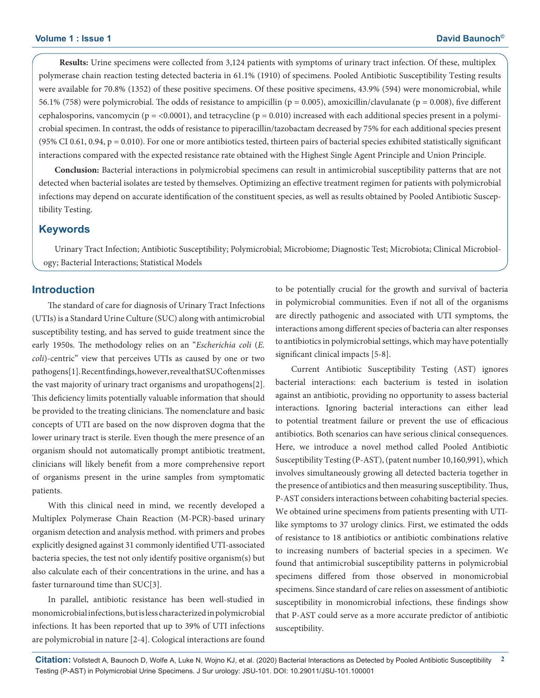**Results:** Urine specimens were collected from 3,124 patients with symptoms of urinary tract infection. Of these, multiplex polymerase chain reaction testing detected bacteria in 61.1% (1910) of specimens. Pooled Antibiotic Susceptibility Testing results were available for 70.8% (1352) of these positive specimens. Of these positive specimens, 43.9% (594) were monomicrobial, while 56.1% (758) were polymicrobial. The odds of resistance to ampicillin ( $p = 0.005$ ), amoxicillin/clavulanate ( $p = 0.008$ ), five different cephalosporins, vancomycin ( $p = 0.0001$ ), and tetracycline ( $p = 0.010$ ) increased with each additional species present in a polymicrobial specimen. In contrast, the odds of resistance to piperacillin/tazobactam decreased by 75% for each additional species present (95% CI 0.61, 0.94,  $p = 0.010$ ). For one or more antibiotics tested, thirteen pairs of bacterial species exhibited statistically significant interactions compared with the expected resistance rate obtained with the Highest Single Agent Principle and Union Principle.

**Conclusion:** Bacterial interactions in polymicrobial specimens can result in antimicrobial susceptibility patterns that are not detected when bacterial isolates are tested by themselves. Optimizing an effective treatment regimen for patients with polymicrobial infections may depend on accurate identification of the constituent species, as well as results obtained by Pooled Antibiotic Susceptibility Testing.

# **Keywords**

Urinary Tract Infection; Antibiotic Susceptibility; Polymicrobial; Microbiome; Diagnostic Test; Microbiota; Clinical Microbiology; Bacterial Interactions; Statistical Models

## **Introduction**

The standard of care for diagnosis of Urinary Tract Infections (UTIs) is a Standard Urine Culture (SUC) along with antimicrobial susceptibility testing, and has served to guide treatment since the early 1950s. The methodology relies on an "*Escherichia coli* (*E. coli*)-centric" view that perceives UTIs as caused by one or two pathogens[1]. Recent findings, however, reveal that SUC often misses the vast majority of urinary tract organisms and uropathogens[2]. This deficiency limits potentially valuable information that should be provided to the treating clinicians. The nomenclature and basic concepts of UTI are based on the now disproven dogma that the lower urinary tract is sterile. Even though the mere presence of an organism should not automatically prompt antibiotic treatment, clinicians will likely benefit from a more comprehensive report of organisms present in the urine samples from symptomatic patients.

With this clinical need in mind, we recently developed a Multiplex Polymerase Chain Reaction (M-PCR)-based urinary organism detection and analysis method. with primers and probes explicitly designed against 31 commonly identified UTI-associated bacteria species, the test not only identify positive organism(s) but also calculate each of their concentrations in the urine, and has a faster turnaround time than SUC[3].

In parallel, antibiotic resistance has been well-studied in monomicrobial infections, but is less characterized in polymicrobial infections. It has been reported that up to 39% of UTI infections are polymicrobial in nature [2-4]. Cological interactions are found to be potentially crucial for the growth and survival of bacteria in polymicrobial communities. Even if not all of the organisms are directly pathogenic and associated with UTI symptoms, the interactions among different species of bacteria can alter responses to antibiotics in polymicrobial settings, which may have potentially significant clinical impacts [5-8].

Current Antibiotic Susceptibility Testing (AST) ignores bacterial interactions: each bacterium is tested in isolation against an antibiotic, providing no opportunity to assess bacterial interactions. Ignoring bacterial interactions can either lead to potential treatment failure or prevent the use of efficacious antibiotics. Both scenarios can have serious clinical consequences. Here, we introduce a novel method called Pooled Antibiotic Susceptibility Testing (P-AST), (patent number 10,160,991), which involves simultaneously growing all detected bacteria together in the presence of antibiotics and then measuring susceptibility. Thus, P-AST considers interactions between cohabiting bacterial species. We obtained urine specimens from patients presenting with UTIlike symptoms to 37 urology clinics. First, we estimated the odds of resistance to 18 antibiotics or antibiotic combinations relative to increasing numbers of bacterial species in a specimen. We found that antimicrobial susceptibility patterns in polymicrobial specimens differed from those observed in monomicrobial specimens. Since standard of care relies on assessment of antibiotic susceptibility in monomicrobial infections, these findings show that P-AST could serve as a more accurate predictor of antibiotic susceptibility.

**Citation:** Vollstedt A, Baunoch D, Wolfe A, Luke N, Wojno KJ, et al. (2020) Bacterial Interactions as Detected by Pooled Antibiotic Susceptibility **2** Testing (P-AST) in Polymicrobial Urine Specimens. J Sur urology: JSU-101. DOI: 10.29011/JSU-101.100001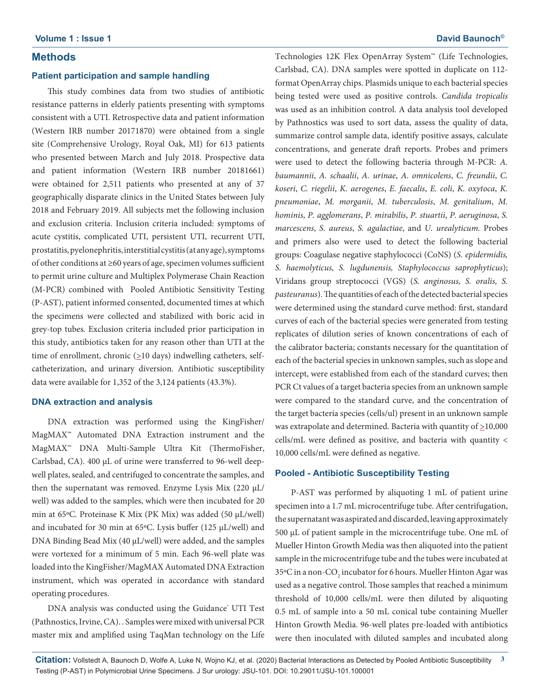# **Methods**

#### **Patient participation and sample handling**

This study combines data from two studies of antibiotic resistance patterns in elderly patients presenting with symptoms consistent with a UTI. Retrospective data and patient information (Western IRB number 20171870) were obtained from a single site (Comprehensive Urology, Royal Oak, MI) for 613 patients who presented between March and July 2018. Prospective data and patient information (Western IRB number 20181661) were obtained for 2,511 patients who presented at any of 37 geographically disparate clinics in the United States between July 2018 and February 2019. All subjects met the following inclusion and exclusion criteria. Inclusion criteria included: symptoms of acute cystitis, complicated UTI, persistent UTI, recurrent UTI, prostatitis, pyelonephritis,interstitial cystitis (at any age), symptoms of other conditions at ≥60 years of age, specimen volumes sufficient to permit urine culture and Multiplex Polymerase Chain Reaction (M-PCR) combined with Pooled Antibiotic Sensitivity Testing (P-AST), patient informed consented, documented times at which the specimens were collected and stabilized with boric acid in grey-top tubes. Exclusion criteria included prior participation in this study, antibiotics taken for any reason other than UTI at the time of enrollment, chronic  $(≥10 \text{ days})$  indwelling catheters, selfcatheterization, and urinary diversion. Antibiotic susceptibility data were available for 1,352 of the 3,124 patients (43.3%).

#### **DNA extraction and analysis**

DNA extraction was performed using the KingFisher/ MagMAX™ Automated DNA Extraction instrument and the MagMAX™ DNA Multi-Sample Ultra Kit (ThermoFisher, Carlsbad, CA). 400 µL of urine were transferred to 96-well deepwell plates, sealed, and centrifuged to concentrate the samples, and then the supernatant was removed. Enzyme Lysis Mix (220 µL/ well) was added to the samples, which were then incubated for 20 min at 65ºC. Proteinase K Mix (PK Mix) was added (50 µL/well) and incubated for 30 min at 65ºC. Lysis buffer (125 µL/well) and DNA Binding Bead Mix (40 µL/well) were added, and the samples were vortexed for a minimum of 5 min. Each 96-well plate was loaded into the KingFisher/MagMAX Automated DNA Extraction instrument, which was operated in accordance with standard operating procedures.

DNA analysis was conducted using the Guidance<sup>®</sup> UTI Test (Pathnostics, Irvine, CA). . Samples were mixed with universal PCR master mix and amplified using TaqMan technology on the Life

Technologies 12K Flex OpenArray System™ (Life Technologies, Carlsbad, CA). DNA samples were spotted in duplicate on 112 format OpenArray chips. Plasmids unique to each bacterial species being tested were used as positive controls. *Candida tropicalis* was used as an inhibition control. A data analysis tool developed by Pathnostics was used to sort data, assess the quality of data, summarize control sample data, identify positive assays, calculate concentrations, and generate draft reports. Probes and primers were used to detect the following bacteria through M-PCR: *A. baumannii*, *A. schaalii*, *A. urinae*, *A. omnicolens*, *C. freundii*, *C. koseri*, *C. riegelii*, *K. aerogenes*, *E. faecalis*, *E. coli*, *K. oxytoca*, *K. pneumoniae*, *M. morganii*, *M. tuberculosis*, *M. genitalium*, *M. hominis*, *P. agglomerans*, *P. mirabilis*, *P. stuartii*, *P. aeruginosa*, *S. marcescens*, *S. aureus*, *S. agalactiae*, and *U. urealyticum.* Probes and primers also were used to detect the following bacterial groups: Coagulase negative staphylococci (CoNS) (*S. epidermidis, S. haemolyticus, S. lugdunensis, Staphylococcus saprophyticus*); Viridans group streptococci (VGS) (*S. anginosus, S. oralis, S. pasteuranus*). The quantities of each of the detected bacterial species were determined using the standard curve method: first, standard curves of each of the bacterial species were generated from testing replicates of dilution series of known concentrations of each of the calibrator bacteria; constants necessary for the quantitation of each of the bacterial species in unknown samples, such as slope and intercept, were established from each of the standard curves; then PCR Ct values of a target bacteria species from an unknown sample were compared to the standard curve, and the concentration of the target bacteria species (cells/ul) present in an unknown sample was extrapolate and determined. Bacteria with quantity of  $\geq$ 10,000 cells/mL were defined as positive, and bacteria with quantity < 10,000 cells/mL were defined as negative.

#### **Pooled - Antibiotic Susceptibility Testing**

P-AST was performed by aliquoting 1 mL of patient urine specimen into a 1.7 mL microcentrifuge tube. After centrifugation, the supernatant was aspirated and discarded, leaving approximately 500 µL of patient sample in the microcentrifuge tube. One mL of Mueller Hinton Growth Media was then aliquoted into the patient sample in the microcentrifuge tube and the tubes were incubated at 35°C in a non-CO<sub>2</sub> incubator for 6 hours. Mueller Hinton Agar was used as a negative control. Those samples that reached a minimum threshold of 10,000 cells/mL were then diluted by aliquoting 0.5 mL of sample into a 50 mL conical tube containing Mueller Hinton Growth Media. 96-well plates pre-loaded with antibiotics were then inoculated with diluted samples and incubated along

**Citation:** Vollstedt A, Baunoch D, Wolfe A, Luke N, Wojno KJ, et al. (2020) Bacterial Interactions as Detected by Pooled Antibiotic Susceptibility **3** Testing (P-AST) in Polymicrobial Urine Specimens. J Sur urology: JSU-101. DOI: 10.29011/JSU-101.100001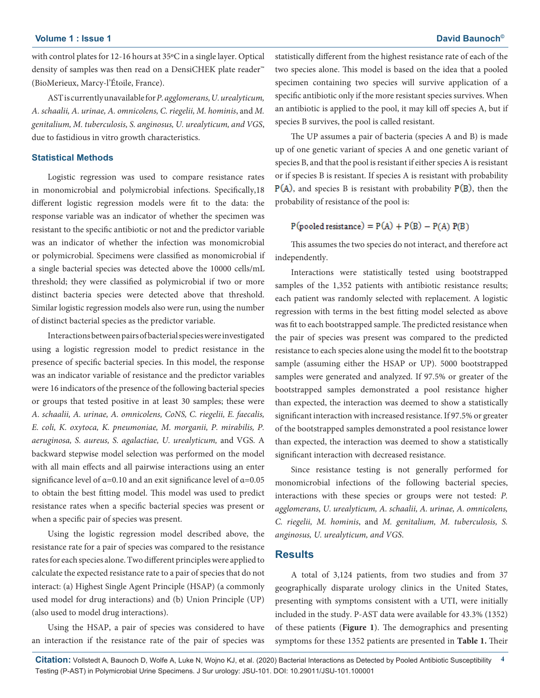with control plates for 12-16 hours at 35ºC in a single layer. Optical density of samples was then read on a DensiCHEK plate reader<sup>™</sup> (BioMerieux, Marcy-l'Étoile, France).

AST is currently unavailable for *P. agglomerans,U. urealyticum, A. schaalii, A. urinae, A. omnicolens, C. riegelii, M. hominis*, and *M. genitalium, M. tuberculosis, S. anginosus, U. urealyticum, and VGS*, due to fastidious in vitro growth characteristics.

#### **Statistical Methods**

Logistic regression was used to compare resistance rates in monomicrobial and polymicrobial infections. Specifically,18 different logistic regression models were fit to the data: the response variable was an indicator of whether the specimen was resistant to the specific antibiotic or not and the predictor variable was an indicator of whether the infection was monomicrobial or polymicrobial. Specimens were classified as monomicrobial if a single bacterial species was detected above the 10000 cells/mL threshold; they were classified as polymicrobial if two or more distinct bacteria species were detected above that threshold. Similar logistic regression models also were run, using the number of distinct bacterial species as the predictor variable.

Interactions between pairs of bacterial species were investigated using a logistic regression model to predict resistance in the presence of specific bacterial species. In this model, the response was an indicator variable of resistance and the predictor variables were 16 indicators of the presence of the following bacterial species or groups that tested positive in at least 30 samples; these were *A. schaalii, A. urinae, A. omnicolens, CoNS, C. riegelii, E. faecalis, E. coli, K. oxytoca, K. pneumoniae, M. morganii, P. mirabilis, P. aeruginosa, S. aureus, S. agalactiae, U. urealyticum,* and VGS*.* A backward stepwise model selection was performed on the model with all main effects and all pairwise interactions using an enter significance level of  $\alpha$ =0.10 and an exit significance level of  $\alpha$ =0.05 to obtain the best fitting model. This model was used to predict resistance rates when a specific bacterial species was present or when a specific pair of species was present.

Using the logistic regression model described above, the resistance rate for a pair of species was compared to the resistance rates for each species alone. Two different principles were applied to calculate the expected resistance rate to a pair of species that do not interact: (a) Highest Single Agent Principle (HSAP) (a commonly used model for drug interactions) and (b) Union Principle (UP) (also used to model drug interactions).

Using the HSAP, a pair of species was considered to have an interaction if the resistance rate of the pair of species was statistically different from the highest resistance rate of each of the two species alone. This model is based on the idea that a pooled specimen containing two species will survive application of a specific antibiotic only if the more resistant species survives. When an antibiotic is applied to the pool, it may kill off species A, but if species B survives, the pool is called resistant.

The UP assumes a pair of bacteria (species A and B) is made up of one genetic variant of species A and one genetic variant of species B, and that the pool is resistant if either species A is resistant or if species B is resistant. If species A is resistant with probability  $P(A)$ , and species B is resistant with probability  $P(B)$ , then the probability of resistance of the pool is:

# $P(pooled resistance) = P(A) + P(B) - P(A) P(B)$

This assumes the two species do not interact, and therefore act independently.

Interactions were statistically tested using bootstrapped samples of the 1,352 patients with antibiotic resistance results; each patient was randomly selected with replacement. A logistic regression with terms in the best fitting model selected as above was fit to each bootstrapped sample. The predicted resistance when the pair of species was present was compared to the predicted resistance to each species alone using the model fit to the bootstrap sample (assuming either the HSAP or UP). 5000 bootstrapped samples were generated and analyzed. If 97.5% or greater of the bootstrapped samples demonstrated a pool resistance higher than expected, the interaction was deemed to show a statistically significant interaction with increased resistance. If 97.5% or greater of the bootstrapped samples demonstrated a pool resistance lower than expected, the interaction was deemed to show a statistically significant interaction with decreased resistance.

Since resistance testing is not generally performed for monomicrobial infections of the following bacterial species, interactions with these species or groups were not tested: *P. agglomerans, U. urealyticum, A. schaalii, A. urinae, A. omnicolens, C. riegelii, M. hominis*, and *M. genitalium, M. tuberculosis, S. anginosus, U. urealyticum, and VGS*.

#### **Results**

A total of 3,124 patients, from two studies and from 37 geographically disparate urology clinics in the United States, presenting with symptoms consistent with a UTI, were initially included in the study. P-AST data were available for 43.3% (1352) of these patients (**Figure 1**). The demographics and presenting symptoms for these 1352 patients are presented in **Table 1.** Their

**Citation:** Vollstedt A, Baunoch D, Wolfe A, Luke N, Wojno KJ, et al. (2020) Bacterial Interactions as Detected by Pooled Antibiotic Susceptibility **4** Testing (P-AST) in Polymicrobial Urine Specimens. J Sur urology: JSU-101. DOI: 10.29011/JSU-101.100001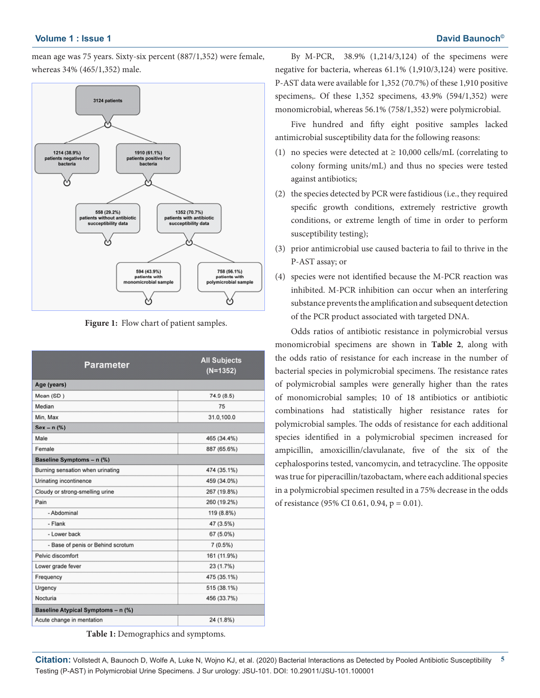mean age was 75 years. Sixty-six percent (887/1,352) were female, whereas 34% (465/1,352) male.



**Figure 1:** Flow chart of patient samples.

| Parameter                          | <b>All Subjects</b><br>$(N=1352)$ |  |  |  |  |  |  |  |
|------------------------------------|-----------------------------------|--|--|--|--|--|--|--|
| Age (years)                        |                                   |  |  |  |  |  |  |  |
| Mean (SD)                          | 74.9 (8.5)                        |  |  |  |  |  |  |  |
| Median                             | 75                                |  |  |  |  |  |  |  |
| Min, Max                           | 31.0,100.0                        |  |  |  |  |  |  |  |
| $Sex - n$ (%)                      |                                   |  |  |  |  |  |  |  |
| Male                               | 465 (34.4%)                       |  |  |  |  |  |  |  |
| Female                             | 887 (65.6%)                       |  |  |  |  |  |  |  |
| Baseline Symptoms - n (%)          |                                   |  |  |  |  |  |  |  |
| Burning sensation when urinating   | 474 (35.1%)                       |  |  |  |  |  |  |  |
| Urinating incontinence             | 459 (34.0%)                       |  |  |  |  |  |  |  |
| Cloudy or strong-smelling urine    | 267 (19.8%)                       |  |  |  |  |  |  |  |
| Pain                               | 260 (19.2%)                       |  |  |  |  |  |  |  |
| - Abdominal                        | 119 (8.8%)                        |  |  |  |  |  |  |  |
| - Flank                            | 47 (3.5%)                         |  |  |  |  |  |  |  |
| - Lower back                       | 67 (5.0%)                         |  |  |  |  |  |  |  |
| - Base of penis or Behind scrotum  | 7(0.5%)                           |  |  |  |  |  |  |  |
| Pelvic discomfort                  | 161 (11.9%)                       |  |  |  |  |  |  |  |
| Lower grade fever                  | 23 (1.7%)                         |  |  |  |  |  |  |  |
| Frequency                          | 475 (35.1%)                       |  |  |  |  |  |  |  |
| Urgency                            | 515 (38.1%)                       |  |  |  |  |  |  |  |
| Nocturia                           | 456 (33.7%)                       |  |  |  |  |  |  |  |
| Baseline Atypical Symptoms - n (%) |                                   |  |  |  |  |  |  |  |
| Acute change in mentation          | 24 (1.8%)                         |  |  |  |  |  |  |  |

**Table 1:** Demographics and symptoms.

By M-PCR, 38.9% (1,214/3,124) of the specimens were negative for bacteria, whereas 61.1% (1,910/3,124) were positive. P-AST data were available for 1,352 (70.7%) of these 1,910 positive specimens,. Of these 1,352 specimens, 43.9% (594/1,352) were monomicrobial, whereas 56.1% (758/1,352) were polymicrobial.

Five hundred and fifty eight positive samples lacked antimicrobial susceptibility data for the following reasons:

- (1) no species were detected at  $\geq$  10,000 cells/mL (correlating to colony forming units/mL) and thus no species were tested against antibiotics;
- (2) the species detected by PCR were fastidious (i.e., they required specific growth conditions, extremely restrictive growth conditions, or extreme length of time in order to perform susceptibility testing);
- (3) prior antimicrobial use caused bacteria to fail to thrive in the P-AST assay; or
- (4) species were not identified because the M-PCR reaction was inhibited. M-PCR inhibition can occur when an interfering substance prevents the amplification and subsequent detection of the PCR product associated with targeted DNA.

Odds ratios of antibiotic resistance in polymicrobial versus monomicrobial specimens are shown in **Table 2**, along with the odds ratio of resistance for each increase in the number of bacterial species in polymicrobial specimens. The resistance rates of polymicrobial samples were generally higher than the rates of monomicrobial samples; 10 of 18 antibiotics or antibiotic combinations had statistically higher resistance rates for polymicrobial samples. The odds of resistance for each additional species identified in a polymicrobial specimen increased for ampicillin, amoxicillin/clavulanate, five of the six of the cephalosporins tested, vancomycin, and tetracycline. The opposite was true for piperacillin/tazobactam, where each additional species in a polymicrobial specimen resulted in a 75% decrease in the odds of resistance (95% CI 0.61, 0.94, p = 0.01).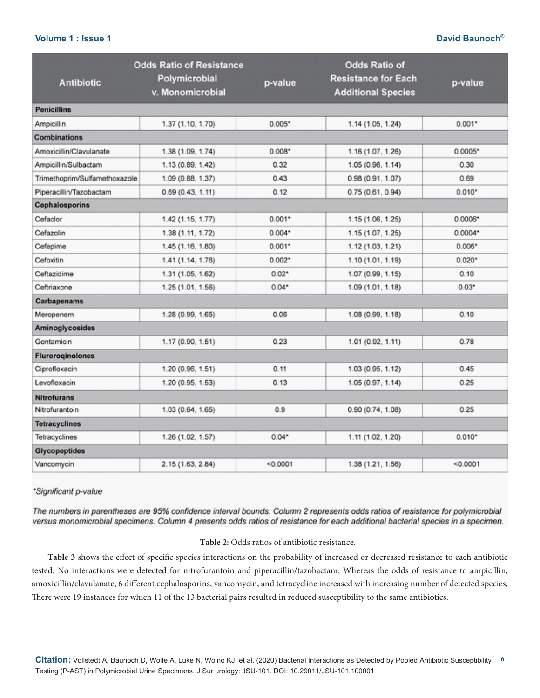# **Volume 1 : Issue 1 David Baunoch©**

|                               | <b>Odds Ratio of Resistance</b>   |          | <b>Odds Ratio of</b>                                    |           |  |  |  |  |  |  |
|-------------------------------|-----------------------------------|----------|---------------------------------------------------------|-----------|--|--|--|--|--|--|
| <b>Antibiotic</b>             | Polymicrobial<br>v. Monomicrobial | p-value  | <b>Resistance for Each</b><br><b>Additional Species</b> | p-value   |  |  |  |  |  |  |
| <b>Penicillins</b>            |                                   |          |                                                         |           |  |  |  |  |  |  |
| Ampicillin                    | 1.37 (1.10, 1.70)                 | $0.005*$ | 1.14 (1.05, 1.24)                                       | $0.001*$  |  |  |  |  |  |  |
| <b>Combinations</b>           |                                   |          |                                                         |           |  |  |  |  |  |  |
| Amoxicillin/Clavulanate       | 1.38 (1.09, 1.74)                 | $0.008*$ | 1.16 (1.07, 1.26)                                       | $0.0005*$ |  |  |  |  |  |  |
| Ampicillin/Sulbactam          | 1.13 (0.89, 1.42)                 | 0.32     | 1.05 (0.96, 1.14)                                       | 0.30      |  |  |  |  |  |  |
| Trimethoprim/Sulfamethoxazole | 1.09 (0.88, 1.37)                 | 0.43     | 0.98 (0.91, 1.07)                                       | 0.69      |  |  |  |  |  |  |
| Piperacillin/Tazobactam       | 0.69(0.43, 1.11)                  | 0.12     | 0.75(0.61, 0.94)                                        | $0.010*$  |  |  |  |  |  |  |
| <b>Cephalosporins</b>         |                                   |          |                                                         |           |  |  |  |  |  |  |
| Cefaclor                      | 1.42 (1.15, 1.77)                 | $0.001*$ | 1.15 (1.06, 1.25)                                       | $0.0006*$ |  |  |  |  |  |  |
| Cefazolin                     | 1.38 (1.11, 1.72)                 | $0.004*$ | 1.15 (1.07, 1.25)                                       | 0.0004*   |  |  |  |  |  |  |
| Cefepime                      | 1.45 (1.16, 1.80)                 | $0.001*$ | 1.12 (1.03, 1.21)                                       | $0.006*$  |  |  |  |  |  |  |
| Cefoxitin                     | 1.41 (1.14, 1.76)                 | $0.002*$ | 1.10 (1.01, 1.19)                                       | $0.020*$  |  |  |  |  |  |  |
| Ceftazidime                   | 1.31 (1.05, 1.62)                 | $0.02*$  | 1.07 (0.99, 1.15)                                       | 0.10      |  |  |  |  |  |  |
| Ceftriaxone                   | 1.25 (1.01, 1.56)                 | $0.04*$  | 1.09 (1.01, 1.18)                                       | $0.03*$   |  |  |  |  |  |  |
| Carbapenams                   |                                   |          |                                                         |           |  |  |  |  |  |  |
| Meropenem                     | 1.28 (0.99, 1.65)                 | 0.06     | 1.08 (0.99, 1.18)                                       | 0.10      |  |  |  |  |  |  |
| Aminoglycosides               |                                   |          |                                                         |           |  |  |  |  |  |  |
| Gentamicin                    | 1.17 (0.90, 1.51)                 | 0.23     | 1.01 (0.92, 1.11)                                       | 0.78      |  |  |  |  |  |  |
| <b>Fluroroginolones</b>       |                                   |          |                                                         |           |  |  |  |  |  |  |
| Ciprofloxacin                 | 1.20 (0.96, 1.51)                 | 0.11     | 1.03 (0.95, 1.12)                                       | 0.45      |  |  |  |  |  |  |
| Levofloxacin                  | 1.20 (0.95, 1.53)                 | 0.13     | 1.05 (0.97, 1.14)                                       | 0.25      |  |  |  |  |  |  |
| <b>Nitrofurans</b>            |                                   |          |                                                         |           |  |  |  |  |  |  |
| Nitrofurantoin                | 1.03 (0.64, 1.65)                 | 0.9      | 0.90 (0.74, 1.08)                                       | 0.25      |  |  |  |  |  |  |
| <b>Tetracyclines</b>          |                                   |          |                                                         |           |  |  |  |  |  |  |
| Tetracyclines                 | 1.26 (1.02, 1.57)                 | $0.04*$  | 1.11 (1.02, 1.20)                                       | $0.010*$  |  |  |  |  |  |  |
| <b>Glycopeptides</b>          |                                   |          |                                                         |           |  |  |  |  |  |  |
| Vancomycin                    | 2.15 (1.63, 2.84)                 | < 0.0001 | 1.38 (1.21, 1.56)                                       | < 0.0001  |  |  |  |  |  |  |

\*Significant p-value

The numbers in parentheses are 95% confidence interval bounds. Column 2 represents odds ratios of resistance for polymicrobial versus monomicrobial specimens. Column 4 presents odds ratios of resistance for each additional bacterial species in a specimen.

#### **Table 2:** Odds ratios of antibiotic resistance.

**Table 3** shows the effect of specific species interactions on the probability of increased or decreased resistance to each antibiotic tested. No interactions were detected for nitrofurantoin and piperacillin/tazobactam. Whereas the odds of resistance to ampicillin, amoxicillin/clavulanate, 6 different cephalosporins, vancomycin, and tetracycline increased with increasing number of detected species, There were 19 instances for which 11 of the 13 bacterial pairs resulted in reduced susceptibility to the same antibiotics.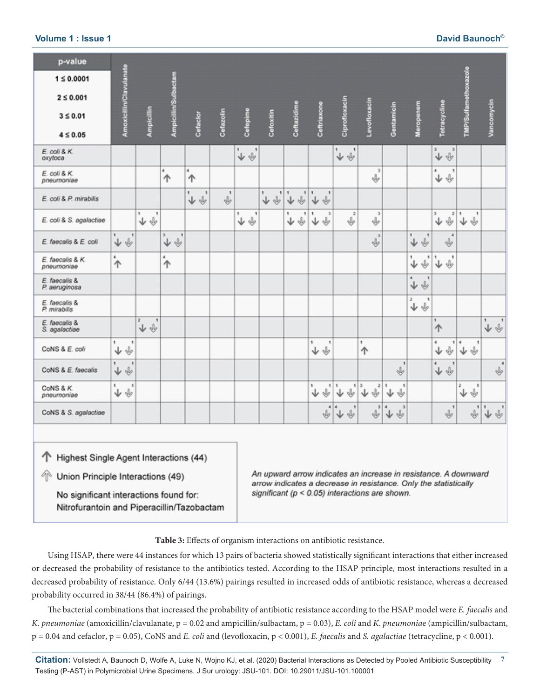| p-value<br>$1 \le 0.0001$<br>$2 \le 0.001$<br>$3 \leq 0.01$<br>$4 \leq 0.05$ | Amoxicillin/Clavulanate                           | Ampicillin                             | Ampicillin/Sulbactam             | Cefaclor                                             | Cefazolin          | Cefepime                                | Cefoxitin                        | Ceftazidime            | Ceftriaxone                            | Ciprofloxacin                             | Levofloxacin                    | Gentamicin                         | Meropenem                                      | Tetracycline                                      | TMP/Sulfamethoxazole                     | Vancomycin                                                                                                      |
|------------------------------------------------------------------------------|---------------------------------------------------|----------------------------------------|----------------------------------|------------------------------------------------------|--------------------|-----------------------------------------|----------------------------------|------------------------|----------------------------------------|-------------------------------------------|---------------------------------|------------------------------------|------------------------------------------------|---------------------------------------------------|------------------------------------------|-----------------------------------------------------------------------------------------------------------------|
| E. coli & K.<br>oxytoca                                                      |                                                   |                                        |                                  |                                                      |                    | ٠.<br>$\mathbf{I}$<br>$\downarrow \psi$ |                                  |                        |                                        | s.<br>$\mathbf{I}$<br>$\downarrow \psi$   |                                 |                                    |                                                | э<br>$\mathbf{3}$<br>$\downarrow \psi$            |                                          |                                                                                                                 |
| E. coli & K.<br>pneumoniae                                                   |                                                   |                                        | $\ddot{\phantom{a}}$<br>个        | $\mathbf{d}_i$<br>个                                  |                    |                                         |                                  |                        |                                        |                                           | $\overline{a}$<br>⊕             |                                    |                                                | 4<br>$\mathbf{1}$<br>$\downarrow \Downarrow$      |                                          |                                                                                                                 |
| E. coli & P. mirabilis                                                       |                                                   |                                        |                                  | $\mathbf{f}$<br>ŧ<br>↓<br>$\mathbb{I}_{\mathcal{P}}$ | $\mathbf{1}$<br>J, |                                         | ٠<br>1<br>$\downarrow$<br>$\psi$ | $\,$ 1<br>1<br>Ŵ,<br>↓ | $\overline{\mathbf{1}}$<br>$\psi$<br>↓ |                                           |                                 |                                    |                                                |                                                   |                                          |                                                                                                                 |
| E. coli & S. agalactiae                                                      |                                                   | ١<br>1<br>↓ ↓                          |                                  |                                                      |                    | 1<br>٠<br>↓ ↓                           |                                  | ٠<br>٠<br>♦<br>↓       | $\overline{3}$<br>1<br>$\psi$<br>↓     | $\dot{z}$<br>$\psi$                       | $\mathbf{3}$<br>⊕               |                                    |                                                | s<br>2 1<br>↓ ↓                                   | $^\mathrm{I}$<br>↓ ↓                     |                                                                                                                 |
| E. faecalis & E. coli                                                        | $\mathbf{1}$<br>$\mathbf{I}$<br>$\downarrow \psi$ |                                        | s<br>1<br>$\psi$<br>$\downarrow$ |                                                      |                    |                                         |                                  |                        |                                        |                                           | $\overline{\mathbf{3}}$<br>Ŵ,   |                                    | ٠.<br>$\mathbf{1}$<br>$\mathbb{Q}$<br>↓        | $\overline{4}$<br>v                               |                                          |                                                                                                                 |
| E. faecalis & K.<br>pneumoniae                                               | $\stackrel{\scriptscriptstyle\bullet}{\Uparrow}$  |                                        | 4<br>个                           |                                                      |                    |                                         |                                  |                        |                                        |                                           |                                 |                                    | 1<br>1<br>↓<br>Ý                               | $\,$ 1<br>1<br>$\overline{\psi}$<br>↓             |                                          |                                                                                                                 |
| E. faecalis &<br>P. aeruginosa                                               |                                                   |                                        |                                  |                                                      |                    |                                         |                                  |                        |                                        |                                           |                                 |                                    | $\ddot{\phantom{1}}$<br>$\mathbf{I}$<br>↓<br>Ý |                                                   |                                          |                                                                                                                 |
| E. faecalis &<br>P. mirabilis                                                |                                                   |                                        |                                  |                                                      |                    |                                         |                                  |                        |                                        |                                           |                                 |                                    | 2<br>٠<br>↓ ↓                                  |                                                   |                                          |                                                                                                                 |
| E. faecalis &<br>S. agalactiae                                               |                                                   | z<br>$\mathbf{I}$<br>$\downarrow \psi$ |                                  |                                                      |                    |                                         |                                  |                        |                                        |                                           |                                 |                                    |                                                | 1<br>↑                                            |                                          | 1<br>$\,$<br>$\downarrow \psi$                                                                                  |
| CoNS & E. coli                                                               | 1<br>$\mathbf{I}$<br>Ŵ,<br>↓                      |                                        |                                  |                                                      |                    |                                         |                                  |                        | ١<br>1<br>₩<br>↓                       |                                           | ٠<br>个                          |                                    |                                                | 4<br>Ŵ,<br>↓                                      | 14<br>$\overline{\phantom{a}}$<br>↓<br>y |                                                                                                                 |
| CoNS & E. faecalis                                                           | $^\dagger$<br>$\mathbf{I}$<br>$\downarrow \psi$   |                                        |                                  |                                                      |                    |                                         |                                  |                        |                                        |                                           |                                 | $\mathbf{I}$<br>Ý                  |                                                | $\overleftrightarrow{\mathbf{v}}$<br>$\mathbf{I}$ |                                          | $\ddot{\phantom{a}}$<br>v                                                                                       |
| CoNS & K.<br>pneumoniae                                                      | 1<br>1<br>↓ ↓                                     |                                        |                                  |                                                      |                    |                                         |                                  |                        | 4<br>1<br>¥,<br>↓                      | $\,$ 1<br>Ý<br>↓                          | 13<br>$\hat{\mathbb{P}}_s$<br>↓ | v<br>↓                             |                                                |                                                   | ż<br>1<br>Ý<br>↓                         |                                                                                                                 |
| CoNS & S. agalactiae                                                         |                                                   |                                        |                                  |                                                      |                    |                                         |                                  |                        | $\overline{4}$<br>Ŵ,                   | $\overline{a}$<br>$\mathbf{I}$<br>Ŵ,<br>↓ | $\overline{ }$<br>⊕             | $\overline{a}$<br>4<br>$\psi$<br>↓ |                                                | 1<br>v                                            | $\blacksquare$<br>Ŵ,                     | $\stackrel{\centerdot}{\blacktriangledown} \stackrel{\centerdot}{\Downarrow} \stackrel{\centerdot}{\Downarrow}$ |

## **Volume 1 : Issue 1 David Baunoch©**

← Highest Single Agent Interactions (44)

49) Union Principle Interactions (49)

No significant interactions found for: Nitrofurantoin and Piperacillin/Tazobactam An upward arrow indicates an increase in resistance. A downward arrow indicates a decrease in resistance. Only the statistically significant ( $p < 0.05$ ) interactions are shown.

**Table 3:** Effects of organism interactions on antibiotic resistance.

Using HSAP, there were 44 instances for which 13 pairs of bacteria showed statistically significant interactions that either increased or decreased the probability of resistance to the antibiotics tested. According to the HSAP principle, most interactions resulted in a decreased probability of resistance. Only 6/44 (13.6%) pairings resulted in increased odds of antibiotic resistance, whereas a decreased probability occurred in 38/44 (86.4%) of pairings.

The bacterial combinations that increased the probability of antibiotic resistance according to the HSAP model were *E. faecalis* and *K. pneumoniae* (amoxicillin/clavulanate, p = 0.02 and ampicillin/sulbactam, p = 0.03), *E. coli* and *K*. *pneumonia*e (ampicillin/sulbactam, p = 0.04 and cefaclor, p = 0.05), CoNS and *E. coli* and (levofloxacin, p < 0.001), *E. faecalis* and *S. agalactiae* (tetracycline, p < 0.001).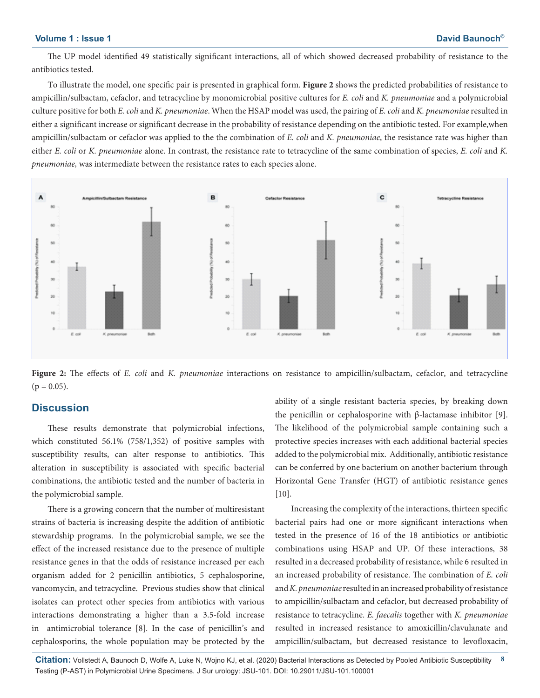The UP model identified 49 statistically significant interactions, all of which showed decreased probability of resistance to the antibiotics tested.

To illustrate the model, one specific pair is presented in graphical form. **Figure 2** shows the predicted probabilities of resistance to ampicillin/sulbactam, cefaclor, and tetracycline by monomicrobial positive cultures for *E. coli* and *K. pneumoniae* and a polymicrobial culture positive for both *E. coli* and *K. pneumoniae*. When the HSAP model was used, the pairing of *E. coli* and *K. pneumoniae* resulted in either a significant increase or significant decrease in the probability of resistance depending on the antibiotic tested. For example,when ampicillin/sulbactam or cefaclor was applied to the the combination of *E. coli* and *K. pneumoniae*, the resistance rate was higher than either *E. coli* or *K. pneumoniae* alone. In contrast, the resistance rate to tetracycline of the same combination of species, *E. coli* and *K. pneumoniae,* was intermediate between the resistance rates to each species alone.



**Figure 2:** The effects of *E. coli* and *K. pneumoniae* interactions on resistance to ampicillin/sulbactam, cefaclor, and tetracycline  $(p = 0.05)$ .

# **Discussion**

These results demonstrate that polymicrobial infections, which constituted 56.1% (758/1,352) of positive samples with susceptibility results, can alter response to antibiotics. This alteration in susceptibility is associated with specific bacterial combinations, the antibiotic tested and the number of bacteria in the polymicrobial sample.

There is a growing concern that the number of multiresistant strains of bacteria is increasing despite the addition of antibiotic stewardship programs. In the polymicrobial sample, we see the effect of the increased resistance due to the presence of multiple resistance genes in that the odds of resistance increased per each organism added for 2 penicillin antibiotics, 5 cephalosporine, vancomycin, and tetracycline. Previous studies show that clinical isolates can protect other species from antibiotics with various interactions demonstrating a higher than a 3.5-fold increase in antimicrobial tolerance [8]. In the case of penicillin's and cephalosporins, the whole population may be protected by the

ability of a single resistant bacteria species, by breaking down the penicillin or cephalosporine with β-lactamase inhibitor [9]. The likelihood of the polymicrobial sample containing such a protective species increases with each additional bacterial species added to the polymicrobial mix. Additionally, antibiotic resistance can be conferred by one bacterium on another bacterium through Horizontal Gene Transfer (HGT) of antibiotic resistance genes [10].

Increasing the complexity of the interactions, thirteen specific bacterial pairs had one or more significant interactions when tested in the presence of 16 of the 18 antibiotics or antibiotic combinations using HSAP and UP. Of these interactions, 38 resulted in a decreased probability of resistance, while 6 resulted in an increased probability of resistance. The combination of *E. coli*  and *K. pneumoniae* resulted in an increased probability of resistance to ampicillin/sulbactam and cefaclor, but decreased probability of resistance to tetracycline. *E. faecalis* together with *K. pneumoniae* resulted in increased resistance to amoxicillin/clavulanate and ampicillin/sulbactam, but decreased resistance to levofloxacin,

**Citation:** Vollstedt A, Baunoch D, Wolfe A, Luke N, Wojno KJ, et al. (2020) Bacterial Interactions as Detected by Pooled Antibiotic Susceptibility **8** Testing (P-AST) in Polymicrobial Urine Specimens. J Sur urology: JSU-101. DOI: 10.29011/JSU-101.100001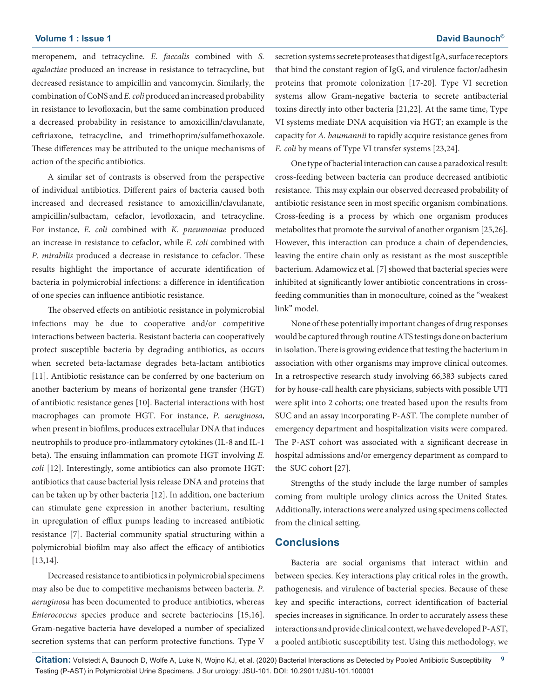## **Volume 1 : Issue 1** David Baunoch®

meropenem, and tetracycline. *E. faecalis* combined with *S. agalactiae* produced an increase in resistance to tetracycline, but decreased resistance to ampicillin and vancomycin. Similarly, the combination of CoNS and *E. coli* produced an increased probability in resistance to levofloxacin, but the same combination produced a decreased probability in resistance to amoxicillin/clavulanate, ceftriaxone, tetracycline, and trimethoprim/sulfamethoxazole. These differences may be attributed to the unique mechanisms of action of the specific antibiotics.

A similar set of contrasts is observed from the perspective of individual antibiotics. Different pairs of bacteria caused both increased and decreased resistance to amoxicillin/clavulanate, ampicillin/sulbactam, cefaclor, levofloxacin, and tetracycline. For instance, *E. coli* combined with *K. pneumoniae* produced an increase in resistance to cefaclor, while *E. coli* combined with *P. mirabilis* produced a decrease in resistance to cefaclor. These results highlight the importance of accurate identification of bacteria in polymicrobial infections: a difference in identification of one species can influence antibiotic resistance.

The observed effects on antibiotic resistance in polymicrobial infections may be due to cooperative and/or competitive interactions between bacteria. Resistant bacteria can cooperatively protect susceptible bacteria by degrading antibiotics, as occurs when secreted beta-lactamase degrades beta-lactam antibiotics [11]. Antibiotic resistance can be conferred by one bacterium on another bacterium by means of horizontal gene transfer (HGT) of antibiotic resistance genes [10]. Bacterial interactions with host macrophages can promote HGT. For instance, *P. aeruginosa*, when present in biofilms, produces extracellular DNA that induces neutrophils to produce pro-inflammatory cytokines (IL-8 and IL-1 beta). The ensuing inflammation can promote HGT involving *E. coli* [12]. Interestingly, some antibiotics can also promote HGT: antibiotics that cause bacterial lysis release DNA and proteins that can be taken up by other bacteria [12]. In addition, one bacterium can stimulate gene expression in another bacterium, resulting in upregulation of efflux pumps leading to increased antibiotic resistance [7]. Bacterial community spatial structuring within a polymicrobial biofilm may also affect the efficacy of antibiotics [13,14].

Decreased resistance to antibiotics in polymicrobial specimens may also be due to competitive mechanisms between bacteria. *P. aeruginosa* has been documented to produce antibiotics, whereas *Enterococcus* species produce and secrete bacteriocins [15,16]. Gram-negative bacteria have developed a number of specialized secretion systems that can perform protective functions. Type V secretion systems secrete proteases that digest IgA, surface receptors that bind the constant region of IgG, and virulence factor/adhesin proteins that promote colonization [17-20]. Type VI secretion systems allow Gram-negative bacteria to secrete antibacterial toxins directly into other bacteria [21,22]. At the same time, Type VI systems mediate DNA acquisition via HGT; an example is the capacity for *A. baumannii* to rapidly acquire resistance genes from *E. coli* by means of Type VI transfer systems [23,24].

One type of bacterial interaction can cause a paradoxical result: cross-feeding between bacteria can produce decreased antibiotic resistance. This may explain our observed decreased probability of antibiotic resistance seen in most specific organism combinations. Cross-feeding is a process by which one organism produces metabolites that promote the survival of another organism [25,26]. However, this interaction can produce a chain of dependencies, leaving the entire chain only as resistant as the most susceptible bacterium. Adamowicz et al. [7] showed that bacterial species were inhibited at significantly lower antibiotic concentrations in crossfeeding communities than in monoculture, coined as the "weakest link" model.

None of these potentially important changes of drug responses would be captured through routine ATS testings done on bacterium in isolation. There is growing evidence that testing the bacterium in association with other organisms may improve clinical outcomes. In a retrospective research study involving 66,383 subjects cared for by house-call health care physicians, subjects with possible UTI were split into 2 cohorts; one treated based upon the results from SUC and an assay incorporating P-AST. The complete number of emergency department and hospitalization visits were compared. The P-AST cohort was associated with a significant decrease in hospital admissions and/or emergency department as compard to the SUC cohort [27].

Strengths of the study include the large number of samples coming from multiple urology clinics across the United States. Additionally, interactions were analyzed using specimens collected from the clinical setting.

## **Conclusions**

Bacteria are social organisms that interact within and between species. Key interactions play critical roles in the growth, pathogenesis, and virulence of bacterial species. Because of these key and specific interactions, correct identification of bacterial species increases in significance. In order to accurately assess these interactions and provide clinical context, we have developed P-AST, a pooled antibiotic susceptibility test. Using this methodology, we

**Citation:** Vollstedt A, Baunoch D, Wolfe A, Luke N, Wojno KJ, et al. (2020) Bacterial Interactions as Detected by Pooled Antibiotic Susceptibility **9** Testing (P-AST) in Polymicrobial Urine Specimens. J Sur urology: JSU-101. DOI: 10.29011/JSU-101.100001